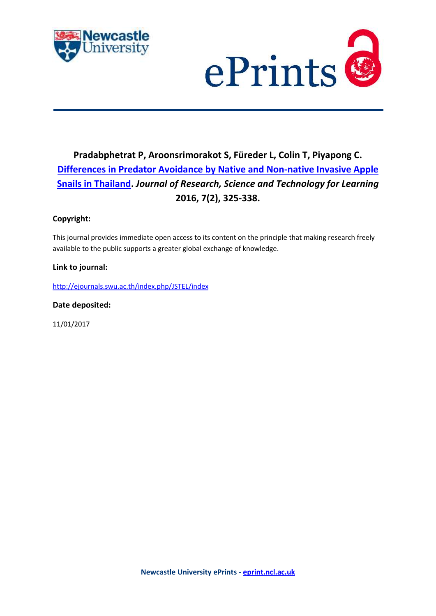



## **Pradabphetrat P, Aroonsrimorakot S, Füreder L, Colin T, Piyapong C. [Differences in Predator Avoidance by Native and Non-native Invasive Apple](https://myimpact.ncl.ac.uk/ViewPublication.aspx?id=230823)  [Snails in Thailand.](https://myimpact.ncl.ac.uk/ViewPublication.aspx?id=230823)** *Journal of Research, Science and Technology for Learning* **2016, 7(2), 325-338.**

### **Copyright:**

This journal provides immediate open access to its content on the principle that making research freely available to the public supports a greater global exchange of knowledge.

### **Link to journal:**

<http://ejournals.swu.ac.th/index.php/JSTEL/index>

**Date deposited:** 

11/01/2017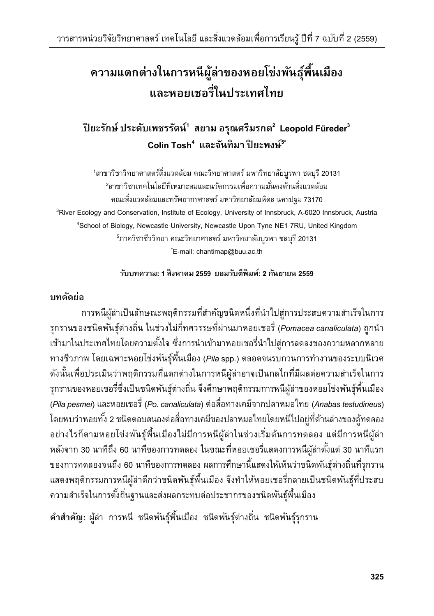# **ความแตกต่างในการหนีผลู้่าของหอยโข่งพนธั พ ์ุ ืนเม ้ ือง และหอยเชอรี่ในประเทศไทย**

## **ปิยะรกษั ์ประดบเพชรร ั ตนั ์ 1 สยาม อรณศร ุ ีมรกต<sup>2</sup> Leopold Füreder3 Colin Tosh4 และจนทั ิมา ปิยะพงษ์ 5\***

<sup>1</sup>สาขาวิชาวิทยาศาสตร์สิ่งแวดล้อม คณะวิทยาศาสตร์ มหาวิทยาลัยบูรพา ชลบุรี 20131 <sup>2</sup>สาขาวิชาเทคโนโลยีที่เหมาะสมและนวัตกรรมเพื่อความมั่นคงด้านสิ่งแวดล้อม ้ คณะสิ่งแวดล้อมและทรัพยากรศาสตร์ มหาวิทยาลัยมหิดล นครปฐม 73170 <sup>3</sup>River Ecology and Conservation, Institute of Ecology, University of Innsbruck, A-6020 Innsbruck, Austria <sup>4</sup>School of Biology, Newcastle University, Newcastle Upon Tyne NE1 7RU, United Kingdom <sup>5</sup>ภาควิชาชีววิทยา คณะวิทยาศาสตร์ มหาวิทยาลัยบูรพา ชลบุรี 20131 \* E-mail: chantimap@buu.ac.th

### **รบบทความ ั : 1 สิงหาคม 2559 ยอมรบตั ีพิมพ: 2 ์ กนยายน ั 2559**

### **บทคดยั ่อ**

ึ การหนีผู้ล่าเป็นลักษณะพฤติกรรมที่สำคัญชนิดหนึ่งที่นำไปสู่การประสบความสำเร็จในการ รุกรานของชนิดพันธุ์ต่างถิ่น ในช่วงไม่กี่ทศวรรษที่ผ่านมาหอยเชอรี่ (*Pomacea canaliculata*) ถูกนำ ้ เข้ามาในประเทศไทยโดยความตั้งใจ ซึ่งการนำเข้ามาหอยเชอรี่นำไปสู่การลดลงของความหลากหลาย ทางชวภาพ ี โดยเฉพาะหอยโขงพ่ นธั ุพ์ นเม ้ื องื (*Pila* spp.) ตลอดจนรบกวนการทางานของระบบน ํ ิเวศ ้ดังนั้นเพื่อประเมินว่าพฤติกรรมที่แตกต่างในการหนีผู้ล่าอาจเป็นกลไกที่มีผลต่อความสำเร็จในการ รุกรานของหอยเชอรี่ซึ่งเป็นชนิดพันธุ์ต่างถิ่น จึงศึกษาพฤติกรรมการหนีผู้ล่าของหอยโข่งพันธุ์พื้นเมือง (*Pila pesmei*) และหอยเชอร (่ี*Po. canaliculata*) ต่อส่อทางเคม ื จากปลาหมอไทย ี (*Anabas testudineus*) โดยพบว่าหอยทั้ง 2 ชนิดตอบสนองต่อสื่อทางเคมีของปลาหมอไทยโดยหนีไปอยู่ที่ด้านล่างของตู้ทดลอง ้อย่างไรก็ตามหอยโข่งพันธุ์พื้นเมืองไม่มีการหนีผู้ล่าในช่วงเริ่มต้นการทดลอง แต่มีการหนีผู้ล่า ้ หลังจาก 30 นาทีถึง 60 นาทีของการทดลอง ในขณะที่หอยเชอรี่แสดงการหนีผู้ล่าตั้งแต่ 30 นาทีแรก ึ ของการทดลองจนถึง 60 นาทีของการทดลอง ผลการศึกษานี้แสดงให้เห็นว่าชนิดพันธุ์ต่างถิ่นที่รุกราน ้ แสดงพฤติกรรมการหนีผู้ล่าดีกว่าชนิดพันธุ์พื้นเมือง จึงทำให้หอยเชอรี่กลายเป็นชนิดพันธุ์ที่ประสบ ้ ความสำเร็จในการตั้งถิ่นฐานและส่งผลกระทบต่อประชากรของชนิดพันธุ์พื้นเมือง

**์ คำสำคัญ:** ผู้ล่า การหนี ชนิดพันธุ์พื้นเมือง ชนิดพันธุ์ต่างถิ่น ชนิดพันธุ์รุกราน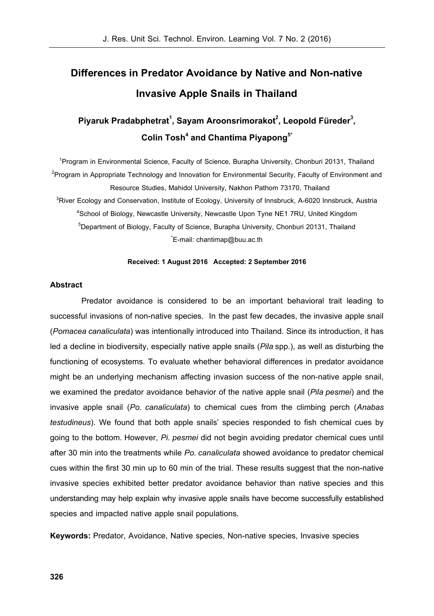## **Differences in Predator Avoidance by Native and Non-native Invasive Apple Snails in Thailand**

## Piyaruk Pradabphetrat<sup>1</sup>, Sayam Aroonsrimorakot<sup>2</sup>, Leopold Füreder<sup>3</sup>,  ${\sf Colin~Tosh}^4$  and Chantima Pi<mark>yapong $^{\mathfrak{h}^*}$ </mark>

<sup>1</sup>Program in Environmental Science, Faculty of Science, Burapha University, Chonburi 20131, Thailand  $^{2}$ Program in Appropriate Technology and Innovation for Environmental Security, Faculty of Environment and Resource Studies, Mahidol University, Nakhon Pathom 73170, Thailand  $^3$ River Ecology and Conservation, Institute of Ecology, University of Innsbruck, A-6020 Innsbruck, Austria 4 School of Biology, Newcastle University, Newcastle Upon Tyne NE1 7RU, United Kingdom <sup>5</sup>Department of Biology, Faculty of Science, Burapha University, Chonburi 20131, Thailand \* E-mail: chantimap@buu.ac.th

#### **Received: 1 August 2016 Accepted: 2 September 2016**

#### **Abstract**

Predator avoidance is considered to be an important behavioral trait leading to successful invasions of non-native species. In the past few decades, the invasive apple snail (*Pomacea canaliculata*) was intentionally introduced into Thailand. Since its introduction, it has led a decline in biodiversity, especially native apple snails (*Pila* spp.), as well as disturbing the functioning of ecosystems. To evaluate whether behavioral differences in predator avoidance might be an underlying mechanism affecting invasion success of the non-native apple snail, we examined the predator avoidance behavior of the native apple snail (*Pila pesmei*) and the invasive apple snail (*Po. canaliculata*) to chemical cues from the climbing perch (*Anabas testudineus*). We found that both apple snails' species responded to fish chemical cues by going to the bottom. However, *Pi. pesmei* did not begin avoiding predator chemical cues until after 30 min into the treatments while *Po. canaliculata* showed avoidance to predator chemical cues within the first 30 min up to 60 min of the trial. These results suggest that the non-native invasive species exhibited better predator avoidance behavior than native species and this understanding may help explain why invasive apple snails have become successfully established species and impacted native apple snail populations.

**Keywords:** Predator, Avoidance, Native species, Non-native species, Invasive species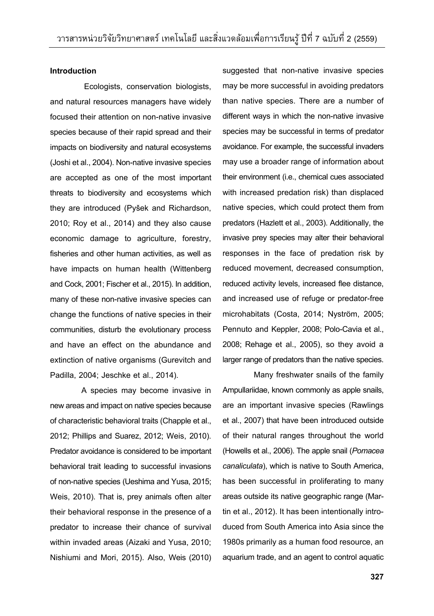#### **Introduction**

 Ecologists, conservation biologists, and natural resources managers have widely focused their attention on non-native invasive species because of their rapid spread and their impacts on biodiversity and natural ecosystems (Joshi et al., 2004). Non-native invasive species are accepted as one of the most important threats to biodiversity and ecosystems which they are introduced (Pyšek and Richardson, 2010; Roy et al., 2014) and they also cause economic damage to agriculture, forestry, fisheries and other human activities, as well as have impacts on human health (Wittenberg and Cock, 2001; Fischer et al., 2015). In addition, many of these non-native invasive species can change the functions of native species in their communities, disturb the evolutionary process and have an effect on the abundance and extinction of native organisms (Gurevitch and Padilla, 2004; Jeschke et al., 2014).

 A species may become invasive in new areas and impact on native species because of characteristic behavioral traits (Chapple et al., 2012; Phillips and Suarez, 2012; Weis, 2010). Predator avoidance is considered to be important behavioral trait leading to successful invasions of non-native species (Ueshima and Yusa, 2015; Weis, 2010). That is, prey animals often alter their behavioral response in the presence of a predator to increase their chance of survival within invaded areas (Aizaki and Yusa, 2010; Nishiumi and Mori, 2015). Also, Weis (2010)

suggested that non-native invasive species may be more successful in avoiding predators than native species. There are a number of different ways in which the non-native invasive species may be successful in terms of predator avoidance. For example, the successful invaders may use a broader range of information about their environment (i.e., chemical cues associated with increased predation risk) than displaced native species, which could protect them from predators (Hazlett et al., 2003). Additionally, the invasive prey species may alter their behavioral responses in the face of predation risk by reduced movement, decreased consumption, reduced activity levels, increased flee distance, and increased use of refuge or predator-free microhabitats (Costa, 2014; Nyström, 2005; Pennuto and Keppler, 2008; Polo-Cavia et al., 2008; Rehage et al., 2005), so they avoid a larger range of predators than the native species.

 Many freshwater snails of the family Ampullariidae, known commonly as apple snails, are an important invasive species (Rawlings et al., 2007) that have been introduced outside of their natural ranges throughout the world (Howells et al., 2006). The apple snail (*Pomacea canaliculata*), which is native to South America, has been successful in proliferating to many areas outside its native geographic range (Martin et al., 2012). It has been intentionally introduced from South America into Asia since the 1980s primarily as a human food resource, an aquarium trade, and an agent to control aquatic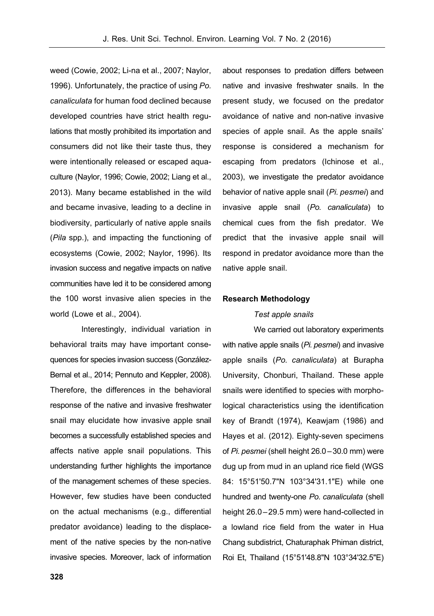weed (Cowie, 2002; Li-na et al., 2007; Naylor, 1996). Unfortunately, the practice of using *Po. canaliculata* for human food declined because developed countries have strict health regulations that mostly prohibited its importation and consumers did not like their taste thus, they were intentionally released or escaped aquaculture (Naylor, 1996; Cowie, 2002; Liang et al., 2013). Many became established in the wild and became invasive, leading to a decline in biodiversity, particularly of native apple snails (*Pila* spp.), and impacting the functioning of ecosystems (Cowie, 2002; Naylor, 1996). Its invasion success and negative impacts on native communities have led it to be considered among the 100 worst invasive alien species in the world (Lowe et al., 2004).

 Interestingly, individual variation in behavioral traits may have important consequences for species invasion success (González-Bernal et al., 2014; Pennuto and Keppler, 2008). Therefore, the differences in the behavioral response of the native and invasive freshwater snail may elucidate how invasive apple snail becomes a successfully established species and affects native apple snail populations. This understanding further highlights the importance of the management schemes of these species. However, few studies have been conducted on the actual mechanisms (e.g., differential predator avoidance) leading to the displacement of the native species by the non-native invasive species. Moreover, lack of information

**328** 

about responses to predation differs between native and invasive freshwater snails. In the present study, we focused on the predator avoidance of native and non-native invasive species of apple snail. As the apple snails' response is considered a mechanism for escaping from predators (Ichinose et al., 2003), we investigate the predator avoidance behavior of native apple snail (*Pi. pesmei*) and invasive apple snail (*Po. canaliculata*) to chemical cues from the fish predator. We predict that the invasive apple snail will respond in predator avoidance more than the native apple snail.

#### **Research Methodology**

#### *Test apple snails*

 We carried out laboratory experiments with native apple snails (*Pi. pesmei*) and invasive apple snails (*Po. canaliculata*) at Burapha University, Chonburi, Thailand. These apple snails were identified to species with morphological characteristics using the identification key of Brandt (1974), Keawjam (1986) and Hayes et al. (2012). Eighty-seven specimens of *Pi. pesmei* (shell height 26.0–30.0 mm) were dug up from mud in an upland rice field (WGS 84: 15°51'50.7"N 103°34'31.1"E) while one hundred and twenty-one *Po. canaliculata* (shell height 26.0–29.5 mm) were hand-collected in a lowland rice field from the water in Hua Chang subdistrict, Chaturaphak Phiman district, Roi Et, Thailand (15°51'48.8"N 103°34'32.5"E)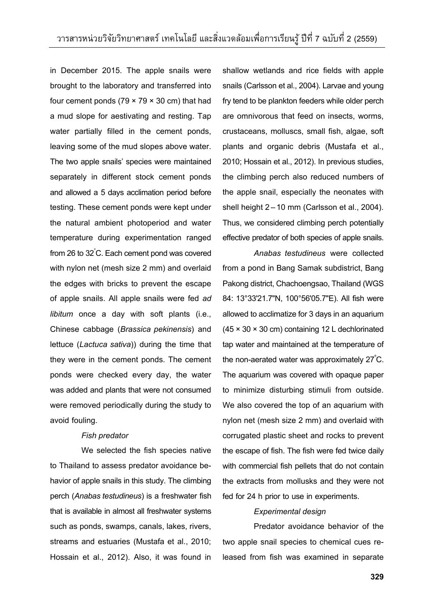in December 2015. The apple snails were brought to the laboratory and transferred into four cement ponds ( $79 \times 79 \times 30$  cm) that had a mud slope for aestivating and resting. Tap water partially filled in the cement ponds, leaving some of the mud slopes above water. The two apple snails' species were maintained separately in different stock cement ponds and allowed a 5 days acclimation period before testing. These cement ponds were kept under the natural ambient photoperiod and water temperature during experimentation ranged from 26 to 32° C. Each cement pond was covered with nylon net (mesh size 2 mm) and overlaid the edges with bricks to prevent the escape of apple snails. All apple snails were fed *ad libitum* once a day with soft plants (i.e., Chinese cabbage (*Brassica pekinensis*) and lettuce (*Lactuca sativa*)) during the time that they were in the cement ponds. The cement ponds were checked every day, the water was added and plants that were not consumed were removed periodically during the study to avoid fouling.

#### *Fish predator*

 We selected the fish species native to Thailand to assess predator avoidance behavior of apple snails in this study. The climbing perch (*Anabas testudineus*) is a freshwater fish that is available in almost all freshwater systems such as ponds, swamps, canals, lakes, rivers, streams and estuaries (Mustafa et al., 2010; Hossain et al., 2012). Also, it was found in

shallow wetlands and rice fields with apple snails (Carlsson et al., 2004). Larvae and young fry tend to be plankton feeders while older perch are omnivorous that feed on insects, worms, crustaceans, molluscs, small fish, algae, soft plants and organic debris (Mustafa et al., 2010; Hossain et al., 2012). In previous studies, the climbing perch also reduced numbers of the apple snail, especially the neonates with shell height 2–10 mm (Carlsson et al., 2004). Thus, we considered climbing perch potentially effective predator of both species of apple snails.

*Anabas testudineus* were collected from a pond in Bang Samak subdistrict, Bang Pakong district, Chachoengsao, Thailand (WGS 84: 13°33'21.7"N, 100°56'05.7"E). All fish were allowed to acclimatize for 3 days in an aquarium (45 × 30 × 30 cm) containing 12 L dechlorinated tap water and maintained at the temperature of the non-aerated water was approximately 27 $^{\circ}$ C. The aquarium was covered with opaque paper to minimize disturbing stimuli from outside. We also covered the top of an aquarium with nylon net (mesh size 2 mm) and overlaid with corrugated plastic sheet and rocks to prevent the escape of fish. The fish were fed twice daily with commercial fish pellets that do not contain the extracts from mollusks and they were not fed for 24 h prior to use in experiments.

#### *Experimental design*

 Predator avoidance behavior of the two apple snail species to chemical cues released from fish was examined in separate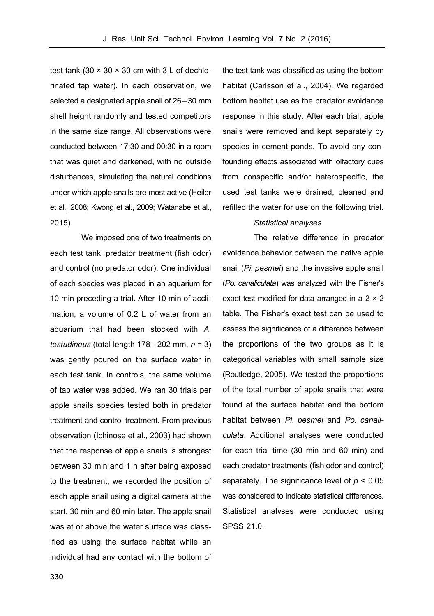test tank (30  $\times$  30  $\times$  30 cm with 3 L of dechlorinated tap water). In each observation, we selected a designated apple snail of 26–30 mm shell height randomly and tested competitors in the same size range. All observations were conducted between 17:30 and 00:30 in a room that was quiet and darkened, with no outside disturbances, simulating the natural conditions under which apple snails are most active (Heiler et al., 2008; Kwong et al., 2009; Watanabe et al., 2015).

 We imposed one of two treatments on each test tank: predator treatment (fish odor) and control (no predator odor). One individual of each species was placed in an aquarium for 10 min preceding a trial. After 10 min of acclimation, a volume of 0.2 L of water from an aquarium that had been stocked with *A. testudineus* (total length 178–202 mm, *n* = 3) was gently poured on the surface water in each test tank. In controls, the same volume of tap water was added. We ran 30 trials per apple snails species tested both in predator treatment and control treatment. From previous observation (Ichinose et al., 2003) had shown that the response of apple snails is strongest between 30 min and 1 h after being exposed to the treatment, we recorded the position of each apple snail using a digital camera at the start, 30 min and 60 min later. The apple snail was at or above the water surface was classified as using the surface habitat while an individual had any contact with the bottom of

the test tank was classified as using the bottom habitat (Carlsson et al., 2004). We regarded bottom habitat use as the predator avoidance response in this study. After each trial, apple snails were removed and kept separately by species in cement ponds. To avoid any confounding effects associated with olfactory cues from conspecific and/or heterospecific, the used test tanks were drained, cleaned and refilled the water for use on the following trial.

#### *Statistical analyses*

 The relative difference in predator avoidance behavior between the native apple snail (*Pi. pesmei*) and the invasive apple snail (*Po. canaliculata*) was analyzed with the Fisher's exact test modified for data arranged in a 2 × 2 table. The Fisher's exact test can be used to assess the significance of a difference between the proportions of the two groups as it is categorical variables with small sample size (Routledge, 2005). We tested the proportions of the total number of apple snails that were found at the surface habitat and the bottom habitat between *Pi. pesmei* and *Po. canaliculata*. Additional analyses were conducted for each trial time (30 min and 60 min) and each predator treatments (fish odor and control) separately. The significance level of *p* < 0.05 was considered to indicate statistical differences. Statistical analyses were conducted using SPSS 21.0.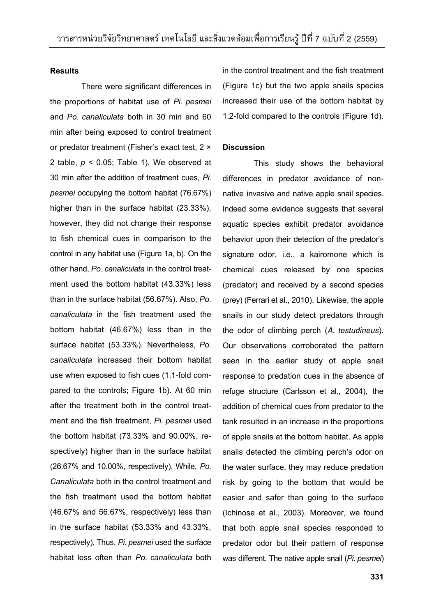#### **Results**

 There were significant differences in the proportions of habitat use of *Pi. pesmei* and *Po. canaliculata* both in 30 min and 60 min after being exposed to control treatment or predator treatment (Fisher's exact test, 2 × 2 table, *p* < 0.05; Table 1). We observed at 30 min after the addition of treatment cues, *Pi. pesmei* occupying the bottom habitat (76.67%) higher than in the surface habitat (23.33%), however, they did not change their response to fish chemical cues in comparison to the control in any habitat use (Figure 1a, b). On the other hand, *Po. canaliculata* in the control treatment used the bottom habitat (43.33%) less than in the surface habitat (56.67%). Also, *Po. canaliculata* in the fish treatment used the bottom habitat (46.67%) less than in the surface habitat (53.33%). Nevertheless, *Po. canaliculata* increased their bottom habitat use when exposed to fish cues (1.1-fold compared to the controls; Figure 1b). At 60 min after the treatment both in the control treatment and the fish treatment, *Pi. pesmei* used the bottom habitat (73.33% and 90.00%, respectively) higher than in the surface habitat (26.67% and 10.00%, respectively). While, *Po. Canaliculata* both in the control treatment and the fish treatment used the bottom habitat (46.67% and 56.67%, respectively) less than in the surface habitat (53.33% and 43.33%, respectively). Thus, *Pi. pesmei* used the surface habitat less often than *Po. canaliculata* both in the control treatment and the fish treatment (Figure 1c) but the two apple snails species increased their use of the bottom habitat by 1.2-fold compared to the controls (Figure 1d).

#### **Discussion**

 This study shows the behavioral differences in predator avoidance of nonnative invasive and native apple snail species. Indeed some evidence suggests that several aquatic species exhibit predator avoidance behavior upon their detection of the predator's signature odor, i.e., a kairomone which is chemical cues released by one species (predator) and received by a second species (prey) (Ferrari et al., 2010). Likewise, the apple snails in our study detect predators through the odor of climbing perch (*A. testudineus*). Our observations corroborated the pattern seen in the earlier study of apple snail response to predation cues in the absence of refuge structure (Carlsson et al., 2004), the addition of chemical cues from predator to the tank resulted in an increase in the proportions of apple snails at the bottom habitat. As apple snails detected the climbing perch's odor on the water surface, they may reduce predation risk by going to the bottom that would be easier and safer than going to the surface (Ichinose et al., 2003). Moreover, we found that both apple snail species responded to predator odor but their pattern of response was different. The native apple snail (*Pi. pesmei*)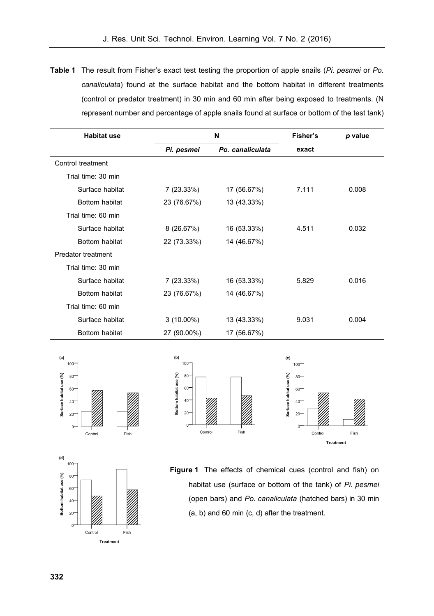**Table 1** The result from Fisher's exact test testing the proportion of apple snails (*Pi. pesmei* or *Po. canaliculata*) found at the surface habitat and the bottom habitat in different treatments (control or predator treatment) in 30 min and 60 min after being exposed to treatments. (N represent number and percentage of apple snails found at surface or bottom of the test tank)

| <b>Habitat use</b>        | N            |                  | Fisher's | p value |
|---------------------------|--------------|------------------|----------|---------|
|                           | Pi. pesmei   | Po. canaliculata | exact    |         |
| Control treatment         |              |                  |          |         |
| Trial time: 30 min        |              |                  |          |         |
| Surface habitat           | 7 (23.33%)   | 17 (56.67%)      | 7.111    | 0.008   |
| Bottom habitat            | 23 (76.67%)  | 13 (43.33%)      |          |         |
| Trial time: 60 min        |              |                  |          |         |
| Surface habitat           | 8(26.67%)    | 16 (53.33%)      | 4.511    | 0.032   |
| Bottom habitat            | 22 (73.33%)  | 14 (46.67%)      |          |         |
| <b>Predator treatment</b> |              |                  |          |         |
| Trial time: 30 min        |              |                  |          |         |
| Surface habitat           | 7 (23.33%)   | 16 (53.33%)      | 5.829    | 0.016   |
| <b>Bottom habitat</b>     | 23 (76.67%)  | 14 (46.67%)      |          |         |
| Trial time: 60 min        |              |                  |          |         |
| Surface habitat           | $3(10.00\%)$ | 13 (43.33%)      | 9.031    | 0.004   |
| Bottom habitat            | 27 (90.00%)  | 17 (56.67%)      |          |         |







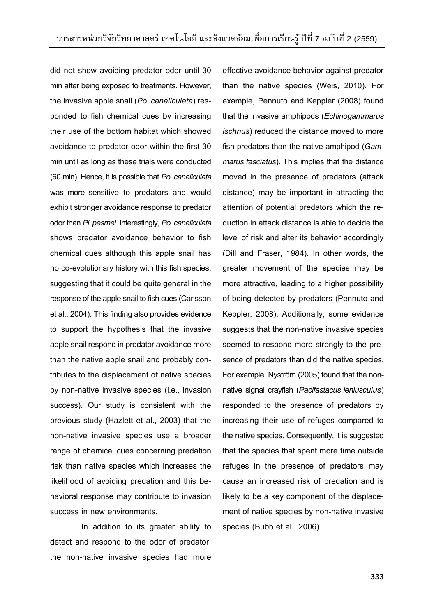did not show avoiding predator odor until 30 min after being exposed to treatments. However, the invasive apple snail (*Po. canaliculata*) responded to fish chemical cues by increasing their use of the bottom habitat which showed avoidance to predator odor within the first 30 min until as long as these trials were conducted (60 min). Hence, it is possible that *Po. canaliculata* was more sensitive to predators and would exhibit stronger avoidance response to predator odor than *Pi. pesmei*. Interestingly, *Po. canaliculata* shows predator avoidance behavior to fish chemical cues although this apple snail has no co-evolutionary history with this fish species, suggesting that it could be quite general in the response of the apple snail to fish cues (Carlsson et al., 2004). This finding also provides evidence to support the hypothesis that the invasive apple snail respond in predator avoidance more than the native apple snail and probably contributes to the displacement of native species by non-native invasive species (i.e., invasion success). Our study is consistent with the previous study (Hazlett et al., 2003) that the non-native invasive species use a broader range of chemical cues concerning predation risk than native species which increases the likelihood of avoiding predation and this behavioral response may contribute to invasion success in new environments.

 In addition to its greater ability to detect and respond to the odor of predator, the non-native invasive species had more

effective avoidance behavior against predator than the native species (Weis, 2010). For example, Pennuto and Keppler (2008) found that the invasive amphipods (*Echinogammarus ischnus*) reduced the distance moved to more fish predators than the native amphipod (*Gammarus fasciatus*). This implies that the distance moved in the presence of predators (attack distance) may be important in attracting the attention of potential predators which the reduction in attack distance is able to decide the level of risk and alter its behavior accordingly (Dill and Fraser, 1984). In other words, the greater movement of the species may be more attractive, leading to a higher possibility of being detected by predators (Pennuto and Keppler, 2008). Additionally, some evidence suggests that the non-native invasive species seemed to respond more strongly to the presence of predators than did the native species. For example, Nyström (2005) found that the nonnative signal crayfish (*Pacifastacus leniusculus*) responded to the presence of predators by increasing their use of refuges compared to the native species. Consequently, it is suggested that the species that spent more time outside refuges in the presence of predators may cause an increased risk of predation and is likely to be a key component of the displacement of native species by non-native invasive species (Bubb et al., 2006).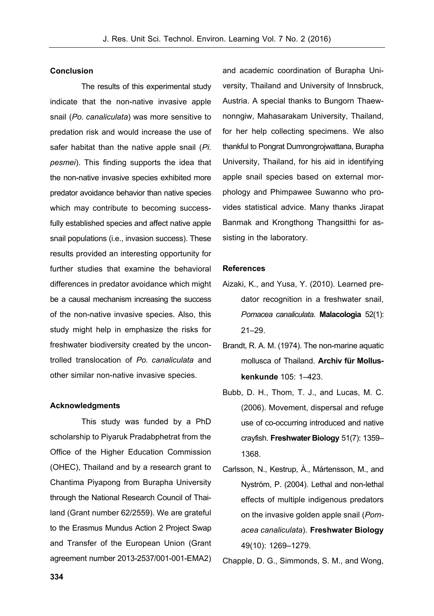#### **Conclusion**

 The results of this experimental study indicate that the non-native invasive apple snail (*Po. canaliculata*) was more sensitive to predation risk and would increase the use of safer habitat than the native apple snail (*Pi. pesmei*). This finding supports the idea that the non-native invasive species exhibited more predator avoidance behavior than native species which may contribute to becoming successfully established species and affect native apple snail populations (i.e., invasion success). These results provided an interesting opportunity for further studies that examine the behavioral differences in predator avoidance which might be a causal mechanism increasing the success of the non-native invasive species. Also, this study might help in emphasize the risks for freshwater biodiversity created by the uncontrolled translocation of *Po. canaliculata* and other similar non-native invasive species.

#### **Acknowledgments**

 This study was funded by a PhD scholarship to Piyaruk Pradabphetrat from the Office of the Higher Education Commission (OHEC), Thailand and by a research grant to Chantima Piyapong from Burapha University through the National Research Council of Thailand (Grant number 62/2559). We are grateful to the Erasmus Mundus Action 2 Project Swap and Transfer of the European Union (Grant agreement number 2013-2537/001-001-EMA2)

and academic coordination of Burapha University, Thailand and University of Innsbruck, Austria. A special thanks to Bungorn Thaewnonngiw, Mahasarakam University, Thailand, for her help collecting specimens. We also thankful to Pongrat Dumrongrojwattana, Burapha University, Thailand, for his aid in identifying apple snail species based on external morphology and Phimpawee Suwanno who provides statistical advice. Many thanks Jirapat Banmak and Krongthong Thangsitthi for assisting in the laboratory.

#### **References**

- Aizaki, K., and Yusa, Y. (2010). Learned predator recognition in a freshwater snail, *Pomacea canaliculata*. **Malacologia** 52(1): 21–29.
- Brandt, R. A. M. (1974). The non-marine aquatic mollusca of Thailand. **Archiv für Molluskenkunde** 105: 1–423.
- Bubb, D. H., Thom, T. J., and Lucas, M. C. (2006). Movement, dispersal and refuge use of co-occurring introduced and native crayfish. **Freshwater Biology** 51(7): 1359– 1368.
- Carlsson, N., Kestrup, Å., Mårtensson, M., and Nyström, P. (2004). Lethal and non-lethal effects of multiple indigenous predators on the invasive golden apple snail (*Pomacea canaliculata*). **Freshwater Biology** 49(10): 1269–1279.

Chapple, D. G., Simmonds, S. M., and Wong,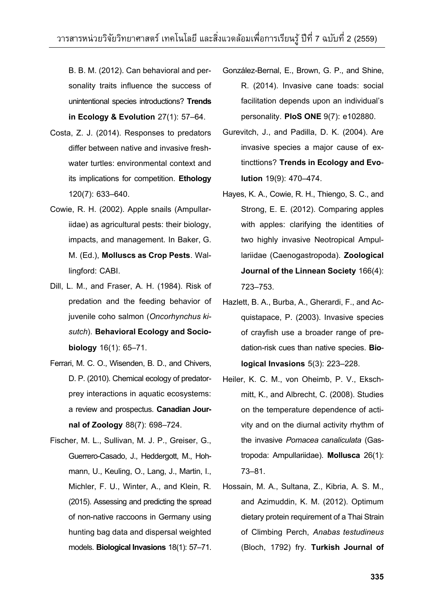B. B. M. (2012). Can behavioral and personality traits influence the success of unintentional species introductions? **Trends in Ecology & Evolution** 27(1): 57–64.

- Costa, Z. J. (2014). Responses to predators differ between native and invasive freshwater turtles: environmental context and its implications for competition. **Ethology** 120(7): 633–640.
- Cowie, R. H. (2002). Apple snails (Ampullariidae) as agricultural pests: their biology, impacts, and management. In Baker, G. M. (Ed.), **Molluscs as Crop Pests**. Wallingford: CABI.
- Dill, L. M., and Fraser, A. H. (1984). Risk of predation and the feeding behavior of juvenile coho salmon (*Oncorhynchus kisutch*). **Behavioral Ecology and Sociobiology** 16(1): 65–71.
- Ferrari, M. C. O., Wisenden, B. D., and Chivers, D. P. (2010). Chemical ecology of predatorprey interactions in aquatic ecosystems: a review and prospectus. **Canadian Journal of Zoology** 88(7): 698–724.
- Fischer, M. L., Sullivan, M. J. P., Greiser, G., Guerrero-Casado, J., Heddergott, M., Hohmann, U., Keuling, O., Lang, J., Martin, I., Michler, F. U., Winter, A., and Klein, R. (2015). Assessing and predicting the spread of non-native raccoons in Germany using hunting bag data and dispersal weighted models. **Biological Invasions** 18(1): 57–71.
- González-Bernal, E., Brown, G. P., and Shine, R. (2014). Invasive cane toads: social facilitation depends upon an individual's personality. **PloS ONE** 9(7): e102880.
- Gurevitch, J., and Padilla, D. K. (2004). Are invasive species a major cause of extincttions? **Trends in Ecology and Evolution** 19(9): 470–474.
- Hayes, K. A., Cowie, R. H., Thiengo, S. C., and Strong, E. E. (2012). Comparing apples with apples: clarifying the identities of two highly invasive Neotropical Ampullariidae (Caenogastropoda). **Zoological Journal of the Linnean Society** 166(4): 723–753.
- Hazlett, B. A., Burba, A., Gherardi, F., and Acquistapace, P. (2003). Invasive species of crayfish use a broader range of predation-risk cues than native species. **Biological Invasions** 5(3): 223–228.
- Heiler, K. C. M., von Oheimb, P. V., Ekschmitt, K., and Albrecht, C. (2008). Studies on the temperature dependence of activity and on the diurnal activity rhythm of the invasive *Pomacea canaliculata* (Gastropoda: Ampullariidae). **Mollusca** 26(1): 73–81.
- Hossain, M. A., Sultana, Z., Kibria, A. S. M., and Azimuddin, K. M. (2012). Optimum dietary protein requirement of a Thai Strain of Climbing Perch, *Anabas testudineus* (Bloch, 1792) fry. **Turkish Journal of**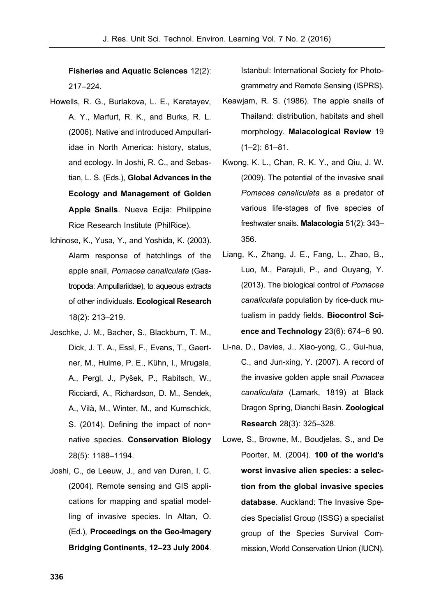**Fisheries and Aquatic Sciences** 12(2): 217–224.

- Howells, R. G., Burlakova, L. E., Karatayev, A. Y., Marfurt, R. K., and Burks, R. L. (2006). Native and introduced Ampullariidae in North America: history, status, and ecology. In Joshi, R. C., and Sebastian, L. S. (Eds.), **Global Advances in the Ecology and Management of Golden Apple Snails**. Nueva Ecija: Philippine Rice Research Institute (PhilRice).
- Ichinose, K., Yusa, Y., and Yoshida, K. (2003). Alarm response of hatchlings of the apple snail, *Pomacea canaliculata* (Gastropoda: Ampullariidae), to aqueous extracts of other individuals. **Ecological Research** 18(2): 213–219.
- Jeschke, J. M., Bacher, S., Blackburn, T. M., Dick, J. T. A., Essl, F., Evans, T., Gaertner, M., Hulme, P. E., Kühn, I., Mrugala, A., Pergl, J., Pyšek, P., Rabitsch, W., Ricciardi, A., Richardson, D. M., Sendek, A., Vilà, M., Winter, M., and Kumschick, S. (2014). Defining the impact of nonnative species. **Conservation Biology** 28(5): 1188–1194.
- Joshi, C., de Leeuw, J., and van Duren, I. C. (2004). Remote sensing and GIS applications for mapping and spatial modelling of invasive species. In Altan, O. (Ed.), **Proceedings on the Geo-Imagery Bridging Continents, 12–23 July 2004**.

Istanbul: International Society for Photogrammetry and Remote Sensing (ISPRS).

- Keawjam, R. S. (1986). The apple snails of Thailand: distribution, habitats and shell morphology. **Malacological Review** 19 (1–2): 61–81.
- Kwong, K. L., Chan, R. K. Y., and Qiu, J. W. (2009). The potential of the invasive snail *Pomacea canaliculata* as a predator of various life-stages of five species of freshwater snails. **Malacologia** 51(2): 343– 356.
- Liang, K., Zhang, J. E., Fang, L., Zhao, B., Luo, M., Parajuli, P., and Ouyang, Y. (2013). The biological control of *Pomacea canaliculata* population by rice-duck mutualism in paddy fields. **Biocontrol Science and Technology** 23(6): 674–6 90.
- Li-na, D., Davies, J., Xiao-yong, C., Gui-hua, C., and Jun-xing, Y. (2007). A record of the invasive golden apple snail *Pomacea canaliculata* (Lamark, 1819) at Black Dragon Spring, Dianchi Basin. **Zoological Research** 28(3): 325–328.
- Lowe, S., Browne, M., Boudjelas, S., and De Poorter, M. (2004). **100 of the world's worst invasive alien species: a selection from the global invasive species database**. Auckland: The Invasive Species Specialist Group (ISSG) a specialist group of the Species Survival Commission, World Conservation Union (IUCN).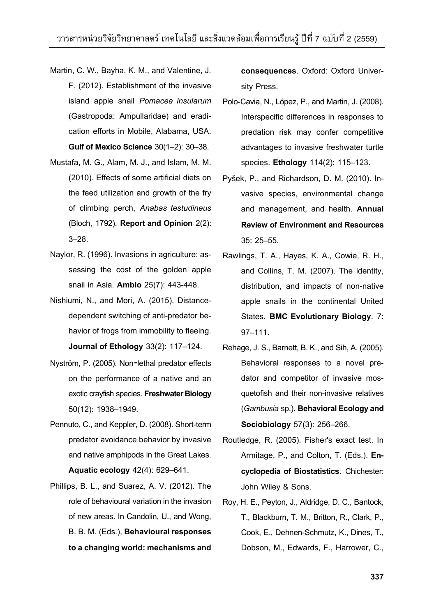- Martin, C. W., Bayha, K. M., and Valentine, J. F. (2012). Establishment of the invasive island apple snail *Pomacea insularum* (Gastropoda: Ampullaridae) and eradication efforts in Mobile, Alabama, USA. **Gulf of Mexico Science** 30(1–2): 30–38.
- Mustafa, M. G., Alam, M. J., and Islam, M. M. (2010). Effects of some artificial diets on the feed utilization and growth of the fry of climbing perch, *Anabas testudineus* (Bloch, 1792). **Report and Opinion** 2(2): 3–28.
- Naylor, R. (1996). Invasions in agriculture: assessing the cost of the golden apple snail in Asia. **Ambio** 25(7): 443-448.
- Nishiumi, N., and Mori, A. (2015). Distancedependent switching of anti-predator behavior of frogs from immobility to fleeing. **Journal of Ethology** 33(2): 117–124.
- Nyström, P. (2005). Non-lethal predator effects on the performance of a native and an exotic crayfish species. **Freshwater Biology** 50(12): 1938–1949.
- Pennuto, C., and Keppler, D. (2008). Short-term predator avoidance behavior by invasive and native amphipods in the Great Lakes. **Aquatic ecology** 42(4): 629–641.
- Phillips, B. L., and Suarez, A. V. (2012). The role of behavioural variation in the invasion of new areas. In Candolin, U., and Wong, B. B. M. (Eds.), **Behavioural responses to a changing world: mechanisms and**

**consequences**. Oxford: Oxford University Press.

- Polo-Cavia, N., López, P., and Martin, J. (2008). Interspecific differences in responses to predation risk may confer competitive advantages to invasive freshwater turtle species. **Ethology** 114(2): 115–123.
- Pyšek, P., and Richardson, D. M. (2010). Invasive species, environmental change and management, and health. **Annual Review of Environment and Resources** 35: 25–55.
- Rawlings, T. A., Hayes, K. A., Cowie, R. H., and Collins, T. M. (2007). The identity, distribution, and impacts of non-native apple snails in the continental United States. **BMC Evolutionary Biology**. 7: 97–111.
- Rehage, J. S., Barnett, B. K., and Sih, A. (2005). Behavioral responses to a novel predator and competitor of invasive mosquetofish and their non-invasive relatives (*Gambusia* sp.). **Behavioral Ecology and Sociobiology** 57(3): 256–266.
- Routledge, R. (2005). Fisher's exact test. In Armitage, P., and Colton, T. (Eds.). **Encyclopedia of Biostatistics**. Chichester: John Wiley & Sons.
- Roy, H. E., Peyton, J., Aldridge, D. C., Bantock, T., Blackburn, T. M., Britton, R., Clark, P., Cook, E., Dehnen-Schmutz, K., Dines, T., Dobson, M., Edwards, F., Harrower, C.,